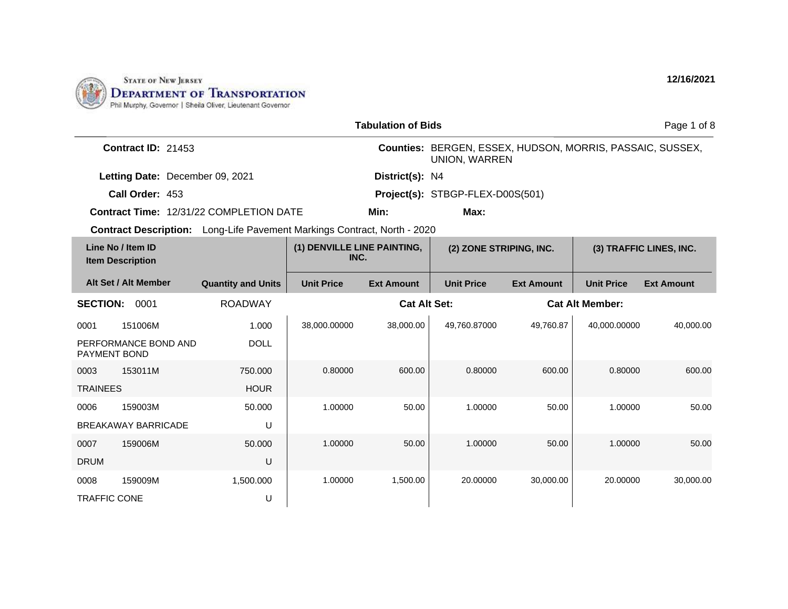

| <b>Tabulation of Bids</b> |                                              |                                                                                 |                                     |                     | Page 1 of 8                                                                       |                   |                        |                         |  |
|---------------------------|----------------------------------------------|---------------------------------------------------------------------------------|-------------------------------------|---------------------|-----------------------------------------------------------------------------------|-------------------|------------------------|-------------------------|--|
|                           | Contract ID: 21453                           |                                                                                 |                                     |                     | Counties: BERGEN, ESSEX, HUDSON, MORRIS, PASSAIC, SUSSEX,<br><b>UNION, WARREN</b> |                   |                        |                         |  |
|                           | Letting Date: December 09, 2021              |                                                                                 |                                     | District(s): N4     |                                                                                   |                   |                        |                         |  |
|                           | Call Order: 453                              |                                                                                 |                                     |                     | Project(s): STBGP-FLEX-D00S(501)                                                  |                   |                        |                         |  |
|                           |                                              | <b>Contract Time: 12/31/22 COMPLETION DATE</b>                                  |                                     | Min:                | Max:                                                                              |                   |                        |                         |  |
|                           |                                              | <b>Contract Description:</b> Long-Life Pavement Markings Contract, North - 2020 |                                     |                     |                                                                                   |                   |                        |                         |  |
|                           | Line No / Item ID<br><b>Item Description</b> |                                                                                 | (1) DENVILLE LINE PAINTING,<br>INC. |                     | (2) ZONE STRIPING, INC.                                                           |                   |                        | (3) TRAFFIC LINES, INC. |  |
|                           | Alt Set / Alt Member                         | <b>Quantity and Units</b>                                                       | <b>Unit Price</b>                   | <b>Ext Amount</b>   | <b>Unit Price</b>                                                                 | <b>Ext Amount</b> | <b>Unit Price</b>      | <b>Ext Amount</b>       |  |
| <b>SECTION:</b>           | 0001                                         | <b>ROADWAY</b>                                                                  |                                     | <b>Cat Alt Set:</b> |                                                                                   |                   | <b>Cat Alt Member:</b> |                         |  |
| 0001                      | 151006M                                      | 1.000                                                                           | 38,000.00000                        | 38,000.00           | 49,760.87000                                                                      | 49,760.87         | 40,000.00000           | 40.000.00               |  |
| PAYMENT BOND              | PERFORMANCE BOND AND                         | <b>DOLL</b>                                                                     |                                     |                     |                                                                                   |                   |                        |                         |  |
| 0003                      | 153011M                                      | 750,000                                                                         | 0.80000                             | 600.00              | 0.80000                                                                           | 600.00            | 0.80000                | 600.00                  |  |
| <b>TRAINEES</b>           |                                              | <b>HOUR</b>                                                                     |                                     |                     |                                                                                   |                   |                        |                         |  |
| 0006                      | 159003M                                      | 50.000                                                                          | 1.00000                             | 50.00               | 1.00000                                                                           | 50.00             | 1.00000                | 50.00                   |  |
|                           | <b>BREAKAWAY BARRICADE</b>                   | U                                                                               |                                     |                     |                                                                                   |                   |                        |                         |  |
| 0007                      | 159006M                                      | 50.000                                                                          | 1.00000                             | 50.00               | 1.00000                                                                           | 50.00             | 1.00000                | 50.00                   |  |
| <b>DRUM</b>               |                                              | U                                                                               |                                     |                     |                                                                                   |                   |                        |                         |  |
| 0008                      | 159009M                                      | 1,500.000                                                                       | 1.00000                             | 1,500.00            | 20.00000                                                                          | 30,000.00         | 20.00000               | 30,000.00               |  |
| <b>TRAFFIC CONE</b>       |                                              | U                                                                               |                                     |                     |                                                                                   |                   |                        |                         |  |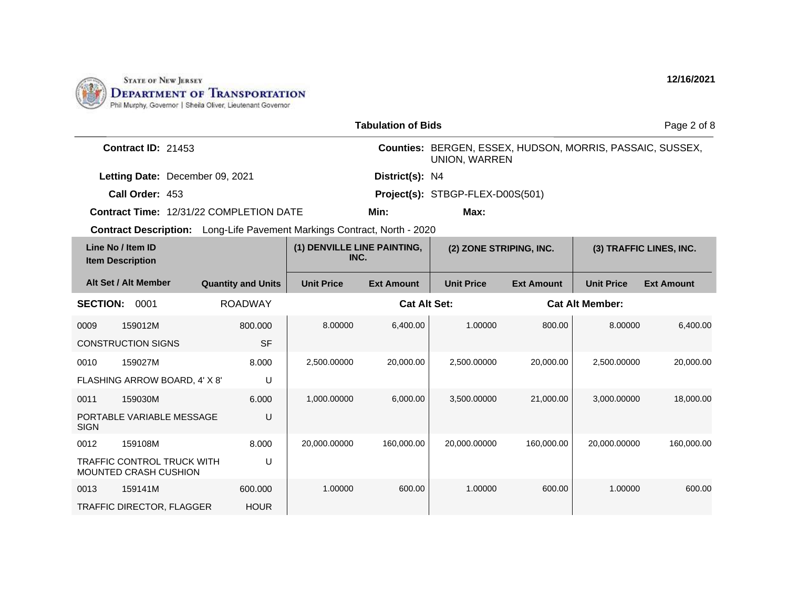

|                                              |                                                                                 |                           |                                     | <b>Tabulation of Bids</b> |                                                                                   |                   |                        | Page 2 of 8             |
|----------------------------------------------|---------------------------------------------------------------------------------|---------------------------|-------------------------------------|---------------------------|-----------------------------------------------------------------------------------|-------------------|------------------------|-------------------------|
|                                              | <b>Contract ID: 21453</b>                                                       |                           |                                     |                           | Counties: BERGEN, ESSEX, HUDSON, MORRIS, PASSAIC, SUSSEX,<br><b>UNION, WARREN</b> |                   |                        |                         |
|                                              | Letting Date: December 09, 2021                                                 |                           |                                     | District(s): N4           |                                                                                   |                   |                        |                         |
|                                              | Call Order: 453                                                                 |                           |                                     |                           | Project(s): STBGP-FLEX-D00S(501)                                                  |                   |                        |                         |
|                                              | Contract Time: 12/31/22 COMPLETION DATE                                         |                           |                                     | Min:                      | Max:                                                                              |                   |                        |                         |
|                                              | <b>Contract Description:</b> Long-Life Pavement Markings Contract, North - 2020 |                           |                                     |                           |                                                                                   |                   |                        |                         |
| Line No / Item ID<br><b>Item Description</b> |                                                                                 |                           | (1) DENVILLE LINE PAINTING,<br>INC. |                           | (2) ZONE STRIPING, INC.                                                           |                   |                        | (3) TRAFFIC LINES, INC. |
| Alt Set / Alt Member                         |                                                                                 | <b>Quantity and Units</b> | <b>Unit Price</b>                   | <b>Ext Amount</b>         | <b>Unit Price</b>                                                                 | <b>Ext Amount</b> | <b>Unit Price</b>      | <b>Ext Amount</b>       |
| <b>SECTION:</b>                              | 0001                                                                            | <b>ROADWAY</b>            |                                     | <b>Cat Alt Set:</b>       |                                                                                   |                   | <b>Cat Alt Member:</b> |                         |
| 159012M<br>0009                              |                                                                                 | 800.000                   | 8.00000                             | 6,400.00                  | 1.00000                                                                           | 800.00            | 8.00000                | 6,400.00                |
| <b>CONSTRUCTION SIGNS</b>                    |                                                                                 | <b>SF</b>                 |                                     |                           |                                                                                   |                   |                        |                         |
| 159027M<br>0010                              |                                                                                 | 8.000                     | 2,500.00000                         | 20,000.00                 | 2,500.00000                                                                       | 20,000.00         | 2,500.00000            | 20,000.00               |
|                                              | FLASHING ARROW BOARD, 4' X 8'                                                   | U                         |                                     |                           |                                                                                   |                   |                        |                         |
| 159030M<br>0011                              |                                                                                 | 6.000                     | 1,000.00000                         | 6,000.00                  | 3,500.00000                                                                       | 21,000.00         | 3,000.00000            | 18,000.00               |
| <b>SIGN</b>                                  | PORTABLE VARIABLE MESSAGE                                                       | U                         |                                     |                           |                                                                                   |                   |                        |                         |
| 159108M<br>0012                              |                                                                                 | 8.000                     | 20,000.00000                        | 160,000.00                | 20,000.00000                                                                      | 160,000.00        | 20,000.00000           | 160,000.00              |
| <b>MOUNTED CRASH CUSHION</b>                 | <b>TRAFFIC CONTROL TRUCK WITH</b>                                               | U                         |                                     |                           |                                                                                   |                   |                        |                         |
| 0013<br>159141M                              |                                                                                 | 600.000                   | 1.00000                             | 600.00                    | 1.00000                                                                           | 600.00            | 1.00000                | 600.00                  |
|                                              | <b>TRAFFIC DIRECTOR, FLAGGER</b>                                                | <b>HOUR</b>               |                                     |                           |                                                                                   |                   |                        |                         |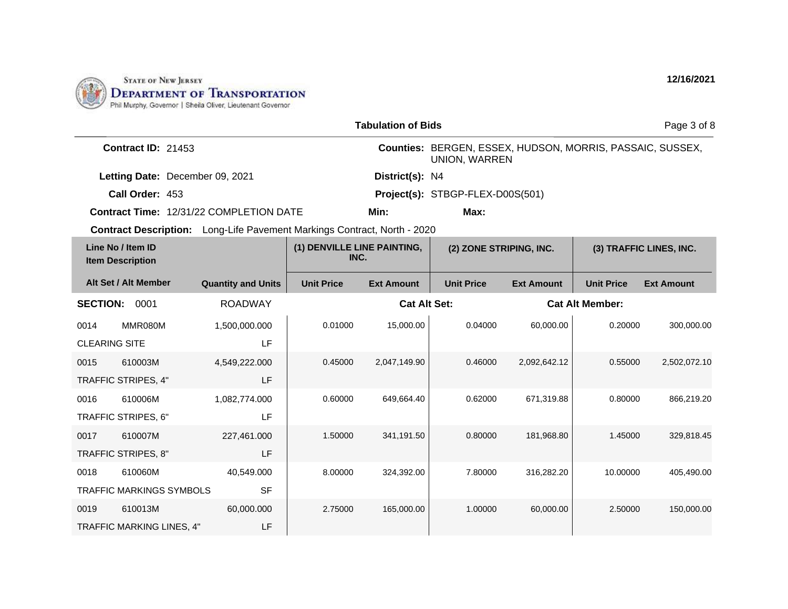

|                                              |                                 |                                                                                 |                                     | <b>Tabulation of Bids</b> |                                                                                   |                   |                         | Page 3 of 8       |
|----------------------------------------------|---------------------------------|---------------------------------------------------------------------------------|-------------------------------------|---------------------------|-----------------------------------------------------------------------------------|-------------------|-------------------------|-------------------|
|                                              | Contract ID: 21453              |                                                                                 |                                     |                           | Counties: BERGEN, ESSEX, HUDSON, MORRIS, PASSAIC, SUSSEX,<br><b>UNION, WARREN</b> |                   |                         |                   |
|                                              | Letting Date: December 09, 2021 |                                                                                 |                                     | District(s): N4           |                                                                                   |                   |                         |                   |
|                                              | Call Order: 453                 |                                                                                 |                                     |                           | Project(s): STBGP-FLEX-D00S(501)                                                  |                   |                         |                   |
|                                              |                                 | <b>Contract Time: 12/31/22 COMPLETION DATE</b>                                  |                                     | Min:                      | Max:                                                                              |                   |                         |                   |
|                                              |                                 | <b>Contract Description:</b> Long-Life Pavement Markings Contract, North - 2020 |                                     |                           |                                                                                   |                   |                         |                   |
| Line No / Item ID<br><b>Item Description</b> |                                 |                                                                                 | (1) DENVILLE LINE PAINTING,<br>INC. |                           | (2) ZONE STRIPING, INC.                                                           |                   | (3) TRAFFIC LINES, INC. |                   |
|                                              | Alt Set / Alt Member            | <b>Quantity and Units</b>                                                       | <b>Unit Price</b>                   | <b>Ext Amount</b>         | <b>Unit Price</b>                                                                 | <b>Ext Amount</b> | <b>Unit Price</b>       | <b>Ext Amount</b> |
| <b>SECTION:</b>                              | 0001                            | <b>ROADWAY</b>                                                                  | <b>Cat Alt Set:</b>                 |                           |                                                                                   |                   | <b>Cat Alt Member:</b>  |                   |
| 0014                                         | MMR080M                         | 1,500,000.000                                                                   | 0.01000                             | 15,000.00                 | 0.04000                                                                           | 60,000.00         | 0.20000                 | 300,000.00        |
| <b>CLEARING SITE</b>                         |                                 | LF.                                                                             |                                     |                           |                                                                                   |                   |                         |                   |
| 0015                                         | 610003M                         | 4,549,222.000                                                                   | 0.45000                             | 2,047,149.90              | 0.46000                                                                           | 2,092,642.12      | 0.55000                 | 2,502,072.10      |
| TRAFFIC STRIPES, 4"                          |                                 | LF                                                                              |                                     |                           |                                                                                   |                   |                         |                   |
| 0016                                         | 610006M                         | 1,082,774.000                                                                   | 0.60000                             | 649,664.40                | 0.62000                                                                           | 671,319.88        | 0.80000                 | 866,219.20        |
| TRAFFIC STRIPES, 6"                          |                                 | LF                                                                              |                                     |                           |                                                                                   |                   |                         |                   |
| 0017                                         | 610007M                         | 227,461.000                                                                     | 1.50000                             | 341,191.50                | 0.80000                                                                           | 181,968.80        | 1.45000                 | 329,818.45        |
| TRAFFIC STRIPES, 8"                          |                                 | LF                                                                              |                                     |                           |                                                                                   |                   |                         |                   |
| 0018                                         | 610060M                         | 40,549.000                                                                      | 8.00000                             | 324,392.00                | 7.80000                                                                           | 316,282.20        | 10.00000                | 405,490.00        |
|                                              | <b>TRAFFIC MARKINGS SYMBOLS</b> | <b>SF</b>                                                                       |                                     |                           |                                                                                   |                   |                         |                   |
| 0019                                         | 610013M                         | 60,000.000                                                                      | 2.75000                             | 165,000.00                | 1.00000                                                                           | 60,000.00         | 2.50000                 | 150,000.00        |
|                                              | TRAFFIC MARKING LINES, 4"       | LF                                                                              |                                     |                           |                                                                                   |                   |                         |                   |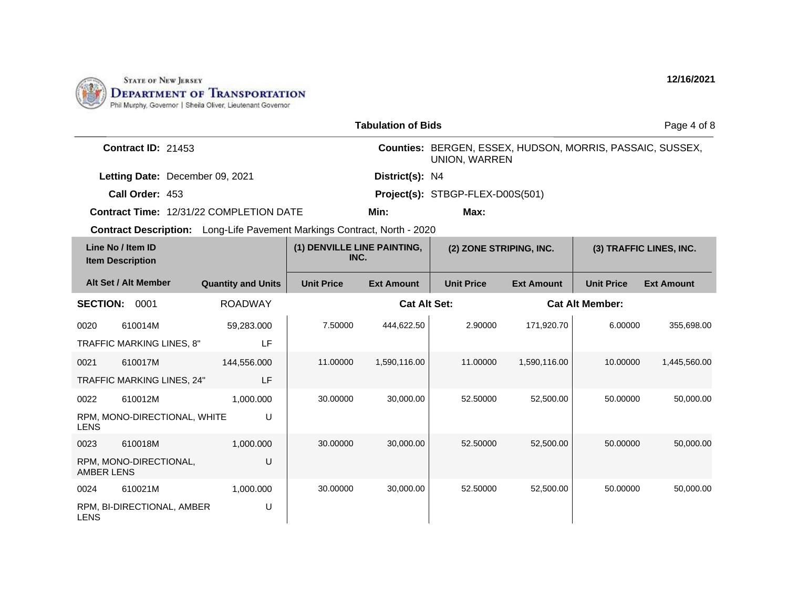

|                   |                                              |                                                                                 |                                     | <b>Tabulation of Bids</b> |                                                                                   |                   |                        | Page 4 of 8             |
|-------------------|----------------------------------------------|---------------------------------------------------------------------------------|-------------------------------------|---------------------------|-----------------------------------------------------------------------------------|-------------------|------------------------|-------------------------|
|                   | <b>Contract ID: 21453</b>                    |                                                                                 |                                     |                           | Counties: BERGEN, ESSEX, HUDSON, MORRIS, PASSAIC, SUSSEX,<br><b>UNION, WARREN</b> |                   |                        |                         |
|                   | Letting Date: December 09, 2021              |                                                                                 |                                     | District(s): N4           |                                                                                   |                   |                        |                         |
|                   | Call Order: 453                              |                                                                                 |                                     |                           | Project(s): STBGP-FLEX-D00S(501)                                                  |                   |                        |                         |
|                   |                                              | <b>Contract Time: 12/31/22 COMPLETION DATE</b>                                  |                                     | Min:                      | Max:                                                                              |                   |                        |                         |
|                   |                                              | <b>Contract Description:</b> Long-Life Pavement Markings Contract, North - 2020 |                                     |                           |                                                                                   |                   |                        |                         |
|                   | Line No / Item ID<br><b>Item Description</b> |                                                                                 | (1) DENVILLE LINE PAINTING,<br>INC. |                           | (2) ZONE STRIPING, INC.                                                           |                   |                        | (3) TRAFFIC LINES, INC. |
|                   | Alt Set / Alt Member                         | <b>Quantity and Units</b>                                                       | <b>Unit Price</b>                   | <b>Ext Amount</b>         | <b>Unit Price</b>                                                                 | <b>Ext Amount</b> | <b>Unit Price</b>      | <b>Ext Amount</b>       |
|                   | <b>SECTION:</b><br>0001<br><b>ROADWAY</b>    |                                                                                 | <b>Cat Alt Set:</b>                 |                           |                                                                                   |                   | <b>Cat Alt Member:</b> |                         |
| 0020              | 610014M                                      | 59,283.000                                                                      | 7.50000                             | 444,622.50                | 2.90000                                                                           | 171,920.70        | 6.00000                | 355,698.00              |
|                   | TRAFFIC MARKING LINES, 8"                    | LF                                                                              |                                     |                           |                                                                                   |                   |                        |                         |
| 0021              | 610017M                                      | 144,556.000                                                                     | 11.00000                            | 1,590,116.00              | 11.00000                                                                          | 1,590,116.00      | 10.00000               | 1,445,560.00            |
|                   | TRAFFIC MARKING LINES, 24"                   | <b>LF</b>                                                                       |                                     |                           |                                                                                   |                   |                        |                         |
| 0022              | 610012M                                      | 1,000.000                                                                       | 30.00000                            | 30,000.00                 | 52.50000                                                                          | 52,500.00         | 50.00000               | 50,000.00               |
| <b>LENS</b>       | RPM, MONO-DIRECTIONAL, WHITE                 | U                                                                               |                                     |                           |                                                                                   |                   |                        |                         |
| 0023              | 610018M                                      | 1,000.000                                                                       | 30.00000                            | 30,000.00                 | 52,50000                                                                          | 52,500.00         | 50.00000               | 50,000.00               |
| <b>AMBER LENS</b> | RPM, MONO-DIRECTIONAL,                       | U                                                                               |                                     |                           |                                                                                   |                   |                        |                         |
| 0024              | 610021M                                      | 1,000.000                                                                       | 30.00000                            | 30,000.00                 | 52.50000                                                                          | 52,500.00         | 50.00000               | 50,000.00               |
| <b>LENS</b>       | RPM, BI-DIRECTIONAL, AMBER                   | U                                                                               |                                     |                           |                                                                                   |                   |                        |                         |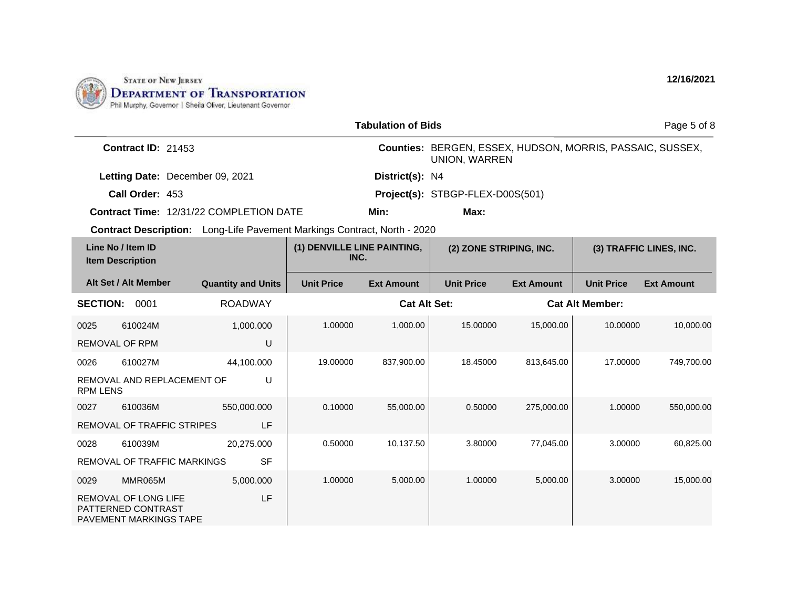

|                                                   |                                 |                                                                                 |                                     | <b>Tabulation of Bids</b> |                                                                                   |                   |                        | Page 5 of 8             |
|---------------------------------------------------|---------------------------------|---------------------------------------------------------------------------------|-------------------------------------|---------------------------|-----------------------------------------------------------------------------------|-------------------|------------------------|-------------------------|
|                                                   | Contract ID: 21453              |                                                                                 |                                     |                           | Counties: BERGEN, ESSEX, HUDSON, MORRIS, PASSAIC, SUSSEX,<br><b>UNION, WARREN</b> |                   |                        |                         |
|                                                   | Letting Date: December 09, 2021 |                                                                                 |                                     | District(s): N4           |                                                                                   |                   |                        |                         |
|                                                   | Call Order: 453                 |                                                                                 |                                     |                           | Project(s): STBGP-FLEX-D00S(501)                                                  |                   |                        |                         |
|                                                   |                                 | <b>Contract Time: 12/31/22 COMPLETION DATE</b>                                  |                                     | Min:                      | Max:                                                                              |                   |                        |                         |
|                                                   |                                 | <b>Contract Description:</b> Long-Life Pavement Markings Contract, North - 2020 |                                     |                           |                                                                                   |                   |                        |                         |
| Line No / Item ID<br><b>Item Description</b>      |                                 |                                                                                 | (1) DENVILLE LINE PAINTING,<br>INC. |                           | (2) ZONE STRIPING, INC.                                                           |                   |                        | (3) TRAFFIC LINES, INC. |
| Alt Set / Alt Member                              |                                 | <b>Quantity and Units</b>                                                       | <b>Unit Price</b>                   | <b>Ext Amount</b>         | <b>Unit Price</b>                                                                 | <b>Ext Amount</b> | <b>Unit Price</b>      | <b>Ext Amount</b>       |
| <b>SECTION:</b>                                   | 0001                            | <b>ROADWAY</b>                                                                  |                                     | <b>Cat Alt Set:</b>       |                                                                                   |                   | <b>Cat Alt Member:</b> |                         |
| 0025                                              | 610024M                         | 1,000.000                                                                       | 1.00000                             | 1,000.00                  | 15.00000                                                                          | 15,000.00         | 10.00000               | 10.000.00               |
| <b>REMOVAL OF RPM</b>                             |                                 | U                                                                               |                                     |                           |                                                                                   |                   |                        |                         |
| 0026                                              | 610027M                         | 44,100.000                                                                      | 19.00000                            | 837,900.00                | 18.45000                                                                          | 813,645.00        | 17.00000               | 749,700.00              |
| <b>RPM LENS</b>                                   | REMOVAL AND REPLACEMENT OF      | U                                                                               |                                     |                           |                                                                                   |                   |                        |                         |
| 0027                                              | 610036M                         | 550,000.000                                                                     | 0.10000                             | 55,000.00                 | 0.50000                                                                           | 275,000.00        | 1.00000                | 550,000.00              |
|                                                   | REMOVAL OF TRAFFIC STRIPES      | LF                                                                              |                                     |                           |                                                                                   |                   |                        |                         |
| 0028                                              | 610039M                         | 20.275.000                                                                      | 0.50000                             | 10,137.50                 | 3.80000                                                                           | 77,045.00         | 3.00000                | 60,825.00               |
|                                                   | REMOVAL OF TRAFFIC MARKINGS     | <b>SF</b>                                                                       |                                     |                           |                                                                                   |                   |                        |                         |
| 0029                                              | MMR065M                         | 5,000.000                                                                       | 1.00000                             | 5,000.00                  | 1.00000                                                                           | 5,000.00          | 3.00000                | 15,000.00               |
| <b>REMOVAL OF LONG LIFE</b><br>PATTERNED CONTRAST | <b>PAVEMENT MARKINGS TAPE</b>   | LF                                                                              |                                     |                           |                                                                                   |                   |                        |                         |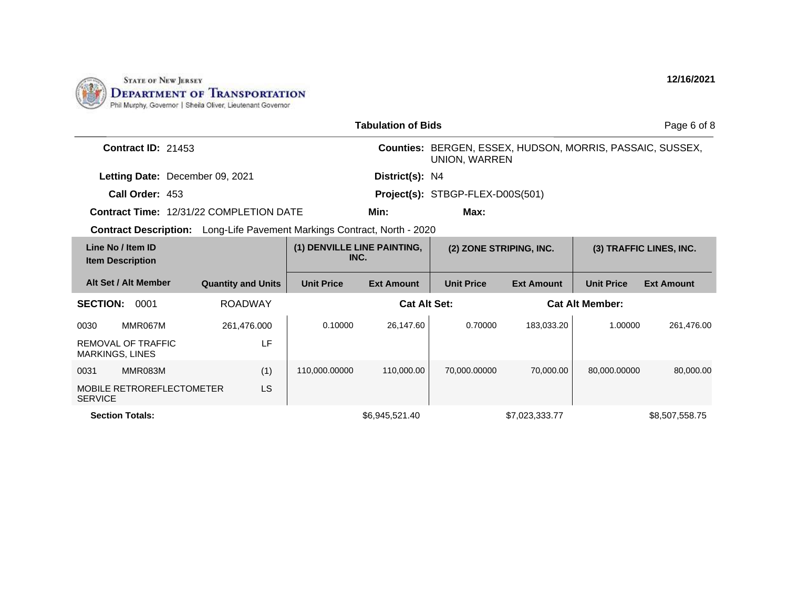

|                                                                                 |                           |                                     | <b>Tabulation of Bids</b> |                                                                            |                         |                   | Page 6 of 8             |
|---------------------------------------------------------------------------------|---------------------------|-------------------------------------|---------------------------|----------------------------------------------------------------------------|-------------------------|-------------------|-------------------------|
| <b>Contract ID: 21453</b>                                                       |                           |                                     |                           | Counties: BERGEN, ESSEX, HUDSON, MORRIS, PASSAIC, SUSSEX,<br>UNION, WARREN |                         |                   |                         |
| Letting Date: December 09, 2021                                                 |                           |                                     | District(s): N4           |                                                                            |                         |                   |                         |
| Call Order: 453                                                                 |                           |                                     |                           | Project(s): STBGP-FLEX-D00S(501)                                           |                         |                   |                         |
| <b>Contract Time: 12/31/22 COMPLETION DATE</b>                                  |                           |                                     | Min:                      | Max:                                                                       |                         |                   |                         |
| <b>Contract Description:</b> Long-Life Pavement Markings Contract, North - 2020 |                           |                                     |                           |                                                                            |                         |                   |                         |
| Line No / Item ID<br><b>Item Description</b>                                    |                           | (1) DENVILLE LINE PAINTING,<br>INC. |                           |                                                                            | (2) ZONE STRIPING, INC. |                   | (3) TRAFFIC LINES, INC. |
| Alt Set / Alt Member                                                            | <b>Quantity and Units</b> | <b>Unit Price</b>                   | <b>Ext Amount</b>         | <b>Unit Price</b>                                                          | <b>Ext Amount</b>       | <b>Unit Price</b> | <b>Ext Amount</b>       |
| <b>SECTION:</b><br>0001                                                         | <b>ROADWAY</b>            |                                     |                           | <b>Cat Alt Set:</b><br><b>Cat Alt Member:</b>                              |                         |                   |                         |
| 0030<br>MMR067M                                                                 | 261,476.000               | 0.10000                             | 26,147.60                 | 0.70000                                                                    | 183,033.20              | 1.00000           | 261,476.00              |
| REMOVAL OF TRAFFIC<br><b>MARKINGS, LINES</b>                                    | LF                        |                                     |                           |                                                                            |                         |                   |                         |
| MMR083M<br>0031                                                                 | (1)                       | 110,000.00000                       | 110,000.00                | 70,000.00000                                                               | 70.000.00               | 80.000.00000      | 80,000.00               |
| <b>MOBILE RETROREFLECTOMETER</b><br><b>SERVICE</b>                              | <b>LS</b>                 |                                     |                           |                                                                            |                         |                   |                         |
| <b>Section Totals:</b>                                                          |                           |                                     | \$6,945,521.40            |                                                                            | \$7,023,333.77          |                   | \$8,507,558.75          |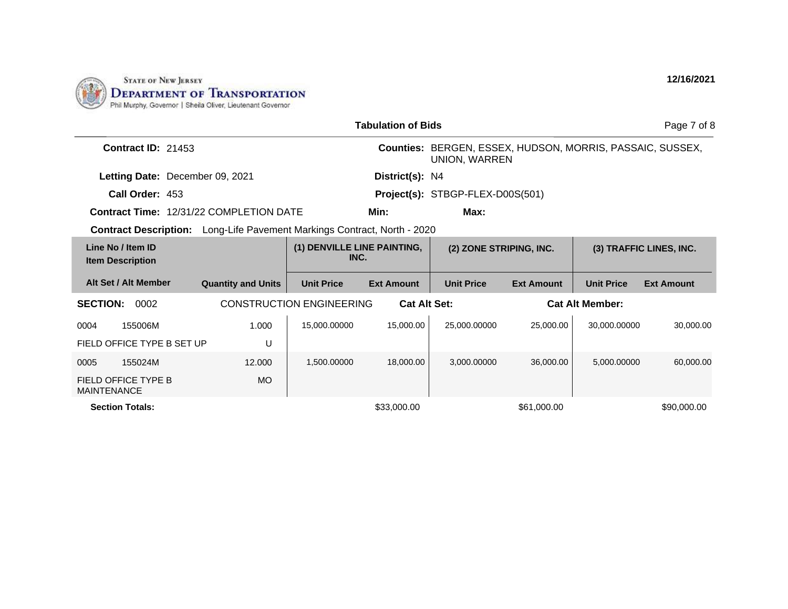

|                                              |                                 |                                                                                 |                                     | <b>Tabulation of Bids</b> |                                                                            |                   |                        | Page 7 of 8             |
|----------------------------------------------|---------------------------------|---------------------------------------------------------------------------------|-------------------------------------|---------------------------|----------------------------------------------------------------------------|-------------------|------------------------|-------------------------|
|                                              | <b>Contract ID: 21453</b>       |                                                                                 |                                     |                           | Counties: BERGEN, ESSEX, HUDSON, MORRIS, PASSAIC, SUSSEX,<br>UNION, WARREN |                   |                        |                         |
|                                              | Letting Date: December 09, 2021 |                                                                                 |                                     | District(s): N4           |                                                                            |                   |                        |                         |
|                                              | Call Order: 453                 |                                                                                 |                                     |                           | Project(s): STBGP-FLEX-D00S(501)                                           |                   |                        |                         |
|                                              |                                 | Contract Time: 12/31/22 COMPLETION DATE                                         |                                     | Min:                      | Max:                                                                       |                   |                        |                         |
|                                              |                                 | <b>Contract Description:</b> Long-Life Pavement Markings Contract, North - 2020 |                                     |                           |                                                                            |                   |                        |                         |
| Line No / Item ID<br><b>Item Description</b> |                                 |                                                                                 | (1) DENVILLE LINE PAINTING,<br>INC. |                           | (2) ZONE STRIPING, INC.                                                    |                   |                        | (3) TRAFFIC LINES, INC. |
| Alt Set / Alt Member                         |                                 | <b>Quantity and Units</b>                                                       | <b>Unit Price</b>                   | <b>Ext Amount</b>         | <b>Unit Price</b>                                                          | <b>Ext Amount</b> | <b>Unit Price</b>      | <b>Ext Amount</b>       |
| <b>SECTION:</b>                              | 0002                            |                                                                                 | <b>CONSTRUCTION ENGINEERING</b>     | <b>Cat Alt Set:</b>       |                                                                            |                   | <b>Cat Alt Member:</b> |                         |
| 0004                                         | 155006M                         | 1.000                                                                           | 15,000.00000                        | 15,000.00                 | 25,000.00000                                                               | 25,000.00         | 30,000.00000           | 30,000.00               |
|                                              | FIELD OFFICE TYPE B SET UP      | U                                                                               |                                     |                           |                                                                            |                   |                        |                         |
| 0005                                         | 155024M                         | 12.000                                                                          | 1,500.00000                         | 18,000,00                 | 3.000.00000                                                                | 36,000,00         | 5.000.00000            | 60,000.00               |
| FIELD OFFICE TYPE B<br><b>MAINTENANCE</b>    |                                 | <b>MO</b>                                                                       |                                     |                           |                                                                            |                   |                        |                         |
| <b>Section Totals:</b>                       |                                 |                                                                                 |                                     | \$33,000.00               |                                                                            | \$61,000.00       |                        | \$90,000,00             |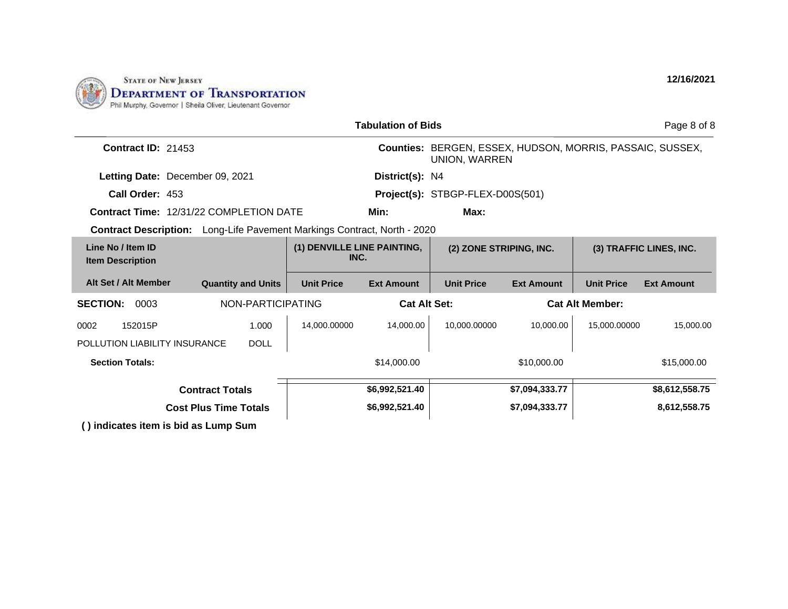

|                                                                          |                              |                   | <b>Tabulation of Bids</b>   |                                                                            |                   |                   | Page 8 of 8             |
|--------------------------------------------------------------------------|------------------------------|-------------------|-----------------------------|----------------------------------------------------------------------------|-------------------|-------------------|-------------------------|
| <b>Contract ID: 21453</b>                                                |                              |                   |                             | Counties: BERGEN, ESSEX, HUDSON, MORRIS, PASSAIC, SUSSEX,<br>UNION, WARREN |                   |                   |                         |
| Letting Date: December 09, 2021                                          |                              |                   | District(s): N4             |                                                                            |                   |                   |                         |
| Call Order: 453                                                          |                              |                   |                             | Project(s): STBGP-FLEX-D00S(501)                                           |                   |                   |                         |
| <b>Contract Time: 12/31/22 COMPLETION DATE</b>                           |                              |                   | Min:                        | Max:                                                                       |                   |                   |                         |
| Contract Description: Long-Life Pavement Markings Contract, North - 2020 |                              |                   |                             |                                                                            |                   |                   |                         |
| Line No / Item ID<br><b>Item Description</b>                             |                              | INC.              | (1) DENVILLE LINE PAINTING, | (2) ZONE STRIPING, INC.                                                    |                   |                   | (3) TRAFFIC LINES, INC. |
| Alt Set / Alt Member                                                     | <b>Quantity and Units</b>    | <b>Unit Price</b> | <b>Ext Amount</b>           | <b>Unit Price</b>                                                          | <b>Ext Amount</b> | <b>Unit Price</b> | <b>Ext Amount</b>       |
| <b>SECTION:</b><br>0003                                                  | NON-PARTICIPATING            |                   |                             | <b>Cat Alt Set:</b><br><b>Cat Alt Member:</b>                              |                   |                   |                         |
| 152015P<br>0002                                                          | 1.000                        | 14,000.00000      | 14.000.00                   | 10,000.00000                                                               | 10.000.00         | 15,000.00000      | 15,000.00               |
| POLLUTION LIABILITY INSURANCE                                            | <b>DOLL</b>                  |                   |                             |                                                                            |                   |                   |                         |
| <b>Section Totals:</b>                                                   |                              |                   | \$14,000.00                 |                                                                            | \$10,000.00       |                   | \$15,000.00             |
|                                                                          | <b>Contract Totals</b>       |                   | \$6,992,521.40              |                                                                            | \$7,094,333.77    |                   | \$8,612,558.75          |
|                                                                          | <b>Cost Plus Time Totals</b> |                   | \$6,992,521.40              |                                                                            | \$7,094,333.77    |                   | 8,612,558.75            |
| () indicates item is bid as Lump Sum                                     |                              |                   |                             |                                                                            |                   |                   |                         |